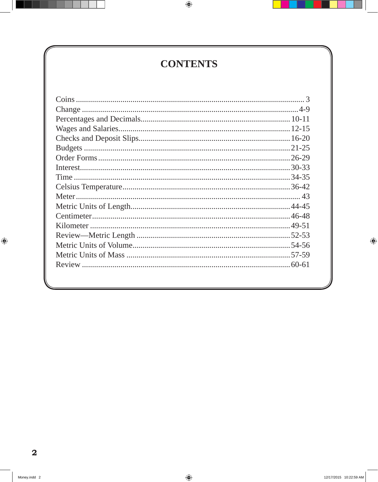## **CONTENTS**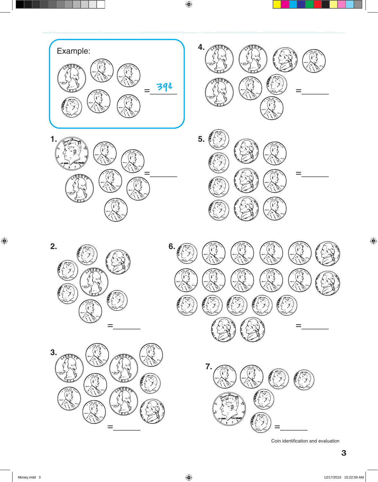

**3.**

=\_\_\_\_\_ ì







Coin identification and evaluation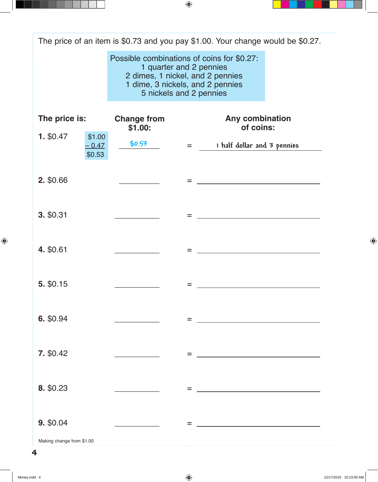The price of an item is \$0.73 and you pay \$1.00. Your change would be \$0.27.

Possible combinations of coins for \$0.27: 1 quarter and 2 pennies 2 dimes, 1 nickel, and 2 pennies 1 dime, 3 nickels, and 2 pennies 5 nickels and 2 pennies

| The price is: |                             | <b>Change from</b><br>\$1.00:                                                                                                                                                |     | Any combination<br>of coins:                                                                                         |
|---------------|-----------------------------|------------------------------------------------------------------------------------------------------------------------------------------------------------------------------|-----|----------------------------------------------------------------------------------------------------------------------|
| 1. \$0.47     | \$1.00<br>$-0.47$<br>\$0.53 | \$0.53                                                                                                                                                                       |     | I half dollar and 3 pennies<br>$=$ $\sim$                                                                            |
| 2. \$0.66     |                             |                                                                                                                                                                              | $=$ | <u> Alexandria de la contrada de la contrada de la contrada de la contrada de la contrada de la contrada de la c</u> |
| 3. \$0.31     |                             |                                                                                                                                                                              | =   |                                                                                                                      |
| 4. \$0.61     |                             |                                                                                                                                                                              | $=$ | <u> Alexandria de la contrada de la contrada de la contrada de la contrada de la contrada de la contrada de la c</u> |
| 5. \$0.15     |                             |                                                                                                                                                                              | =   | <u> 1989 - Johann Barn, mars ann an t-Amhain Aonaich an t-Aonaich an t-Aonaich ann an t-Aonaich ann an t-Aonaich</u> |
| 6. \$0.94     |                             |                                                                                                                                                                              | $=$ | <u> 1980 - Johann Barn, mars ann an t-Amhain an t-Amhain an t-Amhain an t-Amhain an t-Amhain an t-Amhain an t-A</u>  |
| 7. \$0.42     |                             | $\mathcal{L}^{\mathcal{L}}(\mathcal{L}^{\mathcal{L}})$ and $\mathcal{L}^{\mathcal{L}}(\mathcal{L}^{\mathcal{L}})$ and $\mathcal{L}^{\mathcal{L}}(\mathcal{L}^{\mathcal{L}})$ | =   |                                                                                                                      |
| 8. \$0.23     |                             |                                                                                                                                                                              |     |                                                                                                                      |
|               |                             |                                                                                                                                                                              | =   |                                                                                                                      |
| 9. \$0.04     |                             |                                                                                                                                                                              | =   |                                                                                                                      |

Making change from \$1.00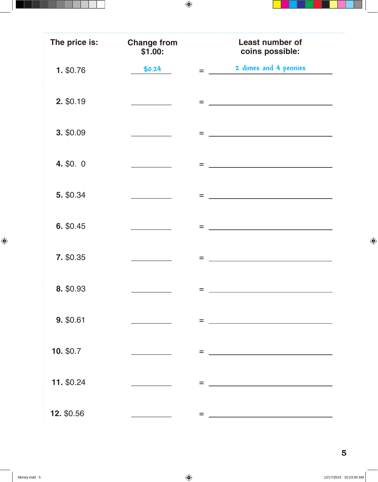| The price is: | <b>Change from</b><br>\$1.00:                                                                                                                                                                                                                                                   | <b>Least number of</b><br>coins possible:                                                                                                                                                                                                   |
|---------------|---------------------------------------------------------------------------------------------------------------------------------------------------------------------------------------------------------------------------------------------------------------------------------|---------------------------------------------------------------------------------------------------------------------------------------------------------------------------------------------------------------------------------------------|
| 1. \$0.76     | \$0.24                                                                                                                                                                                                                                                                          | 2 dimes and 4 pennies<br>$=$                                                                                                                                                                                                                |
| 2. \$0.19     |                                                                                                                                                                                                                                                                                 | $=$<br>the control of the control of the control of the control of the control of                                                                                                                                                           |
| 3. \$0.09     | $\mathcal{L}^{\mathcal{L}}(\mathcal{L}^{\mathcal{L}})$ and $\mathcal{L}^{\mathcal{L}}(\mathcal{L}^{\mathcal{L}})$ and $\mathcal{L}^{\mathcal{L}}(\mathcal{L}^{\mathcal{L}})$                                                                                                    | $=$<br><u> 1989 - Johann Stoff, fransk politik (d. 1989)</u>                                                                                                                                                                                |
| 4. \$0. 0     |                                                                                                                                                                                                                                                                                 | $=$<br><u>and the contract of the contract of the contract of the contract of the contract of the contract of the contract of the contract of the contract of the contract of the contract of the contract of the contract of the contr</u> |
| 5. \$0.34     | $\label{eq:2.1} \frac{1}{\sqrt{2}}\int_{\mathbb{R}^3}\frac{1}{\sqrt{2}}\left(\frac{1}{\sqrt{2}}\right)^2\left(\frac{1}{\sqrt{2}}\right)^2\left(\frac{1}{\sqrt{2}}\right)^2\left(\frac{1}{\sqrt{2}}\right)^2\left(\frac{1}{\sqrt{2}}\right)^2\left(\frac{1}{\sqrt{2}}\right)^2.$ | the control of the control of the control of the control of the control of the control of<br>$=$                                                                                                                                            |
| 6. \$0.45     |                                                                                                                                                                                                                                                                                 | $=$<br><u>and the contract of the contract of the contract of the contract of the contract of the contract of the contract of the contract of the contract of the contract of the contract of the contract of the contract of the contr</u> |
| 7. \$0.35     |                                                                                                                                                                                                                                                                                 | <u>and the state of the state of the state of the state of the state of the state of the state of the state of the state of the state of the state of the state of the state of the state of the state of the state of the state</u><br>$=$ |
| 8. \$0.93     |                                                                                                                                                                                                                                                                                 | $=$                                                                                                                                                                                                                                         |
| 9. \$0.61     |                                                                                                                                                                                                                                                                                 | $=$                                                                                                                                                                                                                                         |
| 10. \$0.7     |                                                                                                                                                                                                                                                                                 | $=$<br><u> 1989 - Johann Barn, mars eta bainar eta idazlea (</u>                                                                                                                                                                            |
| 11. \$0.24    |                                                                                                                                                                                                                                                                                 | $=$                                                                                                                                                                                                                                         |
| 12. \$0.56    |                                                                                                                                                                                                                                                                                 | =                                                                                                                                                                                                                                           |